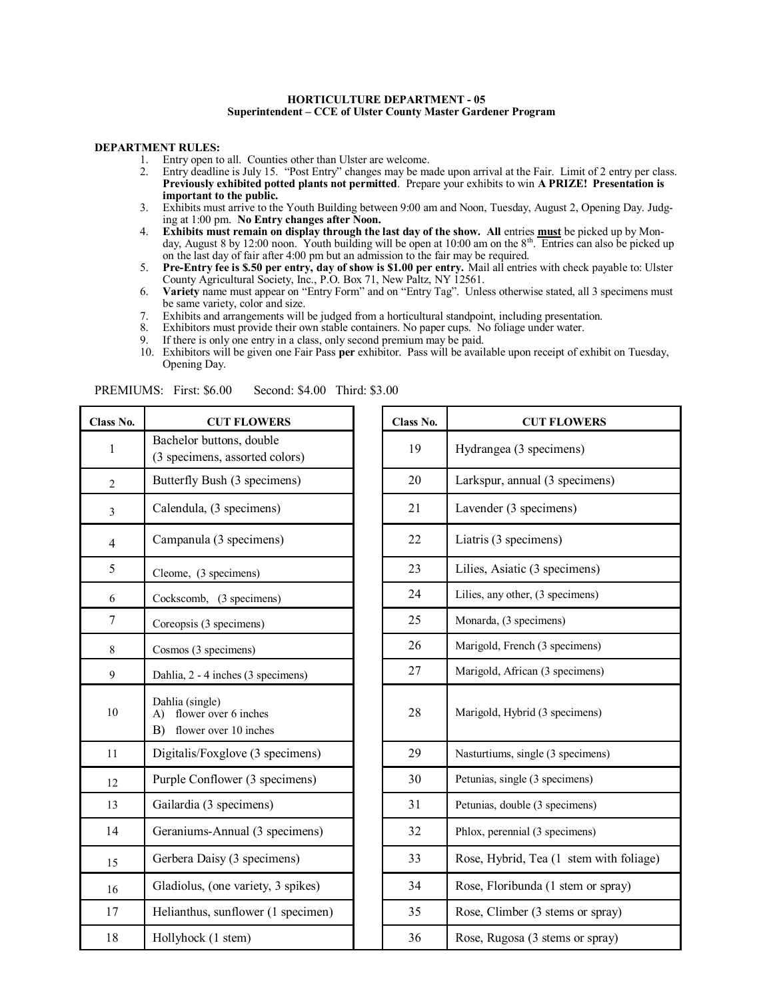## **HORTICULTURE DEPARTMENT - 05 Superintendent – CCE of Ulster County Master Gardener Program**

## **DEPARTMENT RULES:**

- 1. Entry open to all. Counties other than Ulster are welcome.
- 2. Entry deadline is July 15. "Post Entry" changes may be made upon arrival at the Fair. Limit of 2 entry per class. **Previously exhibited potted plants not permitted**. Prepare your exhibits to win **A PRIZE! Presentation is important to the public.**
- 3. Exhibits must arrive to the Youth Building between 9:00 am and Noon, Tuesday, August 2, Opening Day. Judging at 1:00 pm. **No Entry changes after Noon.**
- 4. **Exhibits must remain on display through the last day of the show. All** entries **must** be picked up by Monday, August 8 by 12:00 noon. Youth building will be open at 10:00 am on the 8<sup>th</sup>. Entries can also be picked up on the last day of fair after 4:00 pm but an admission to the fair may be required.
- 5. **Pre-Entry fee is \$.50 per entry, day of show is \$1.00 per entry.** Mail all entries with check payable to: Ulster County Agricultural Society, Inc., P.O. Box 71, New Paltz, NY 12561.
- 6. **Variety** name must appear on "Entry Form" and on "Entry Tag". Unless otherwise stated, all 3 specimens must be same variety, color and size.
- 7. Exhibits and arrangements will be judged from a horticultural standpoint, including presentation.
- 8. Exhibitors must provide their own stable containers. No paper cups. No foliage under water.<br>9. If there is only one entry in a class, only second premium may be paid.
- If there is only one entry in a class, only second premium may be paid.
- 10. Exhibitors will be given one Fair Pass **per** exhibitor. Pass will be available upon receipt of exhibit on Tuesday, Opening Day.

| Class No.               | <b>CUT FLOWERS</b>                                                           | Class No. | <b>CUT FLOWERS</b>                 |  |
|-------------------------|------------------------------------------------------------------------------|-----------|------------------------------------|--|
| $\mathbf{1}$            | Bachelor buttons, double<br>(3 specimens, assorted colors)                   | 19        | Hydrangea (3 specimens)            |  |
| $\overline{2}$          | Butterfly Bush (3 specimens)                                                 | 20        | Larkspur, annual (3 specimens)     |  |
| $\overline{\mathbf{3}}$ | Calendula, (3 specimens)                                                     | 21        | Lavender (3 specimens)             |  |
| $\overline{\mathbf{4}}$ | Campanula (3 specimens)                                                      | 22        | Liatris (3 specimens)              |  |
| 5                       | Cleome, (3 specimens)                                                        | 23        | Lilies, Asiatic (3 specimens)      |  |
| 6                       | Cockscomb, (3 specimens)                                                     | 24        | Lilies, any other, (3 specimens)   |  |
| 7                       | Coreopsis (3 specimens)                                                      | 25        | Monarda, (3 specimens)             |  |
| 8                       | Cosmos (3 specimens)                                                         | 26        | Marigold, French (3 specimens)     |  |
| 9                       | Dahlia, 2 - 4 inches (3 specimens)                                           | 27        | Marigold, African (3 specimens)    |  |
| 10                      | Dahlia (single)<br>flower over 6 inches<br>A)<br>flower over 10 inches<br>B) | 28        | Marigold, Hybrid (3 specimens)     |  |
| 11                      | Digitalis/Foxglove (3 specimens)                                             | 29        | Nasturtiums, single (3 specimens)  |  |
| 12                      | Purple Conflower (3 specimens)                                               | 30        | Petunias, single (3 specimens)     |  |
| 13                      | Gailardia (3 specimens)                                                      | 31        | Petunias, double (3 specimens)     |  |
| 14                      | Geraniums-Annual (3 specimens)                                               | 32        | Phlox, perennial (3 specimens)     |  |
| 15                      | Gerbera Daisy (3 specimens)                                                  | 33        | Rose, Hybrid, Tea (1 stem with fo  |  |
| 16                      | Gladiolus, (one variety, 3 spikes)                                           | 34        | Rose, Floribunda (1 stem or spray) |  |
| 17                      | Helianthus, sunflower (1 specimen)                                           | 35        | Rose, Climber (3 stems or spray)   |  |
| 18                      | Hollyhock (1 stem)                                                           | 36        | Rose, Rugosa (3 stems or spray)    |  |

PREMIUMS: First: \$6.00 Second: \$4.00 Third: \$3.00

| ss No. | <b>CUT FLOWERS</b>                                                           | Class No. | <b>CUT FLOWERS</b>                      |
|--------|------------------------------------------------------------------------------|-----------|-----------------------------------------|
|        | Bachelor buttons, double<br>(3 specimens, assorted colors)                   | 19        | Hydrangea (3 specimens)                 |
|        | Butterfly Bush (3 specimens)                                                 | 20        | Larkspur, annual (3 specimens)          |
|        | Calendula, (3 specimens)                                                     | 21        | Lavender (3 specimens)                  |
|        | Campanula (3 specimens)                                                      | 22        | Liatris (3 specimens)                   |
|        | Cleome, (3 specimens)                                                        | 23        | Lilies, Asiatic (3 specimens)           |
|        | Cockscomb, (3 specimens)                                                     | 24        | Lilies, any other, (3 specimens)        |
|        | Coreopsis (3 specimens)                                                      | 25        | Monarda, (3 specimens)                  |
|        | Cosmos (3 specimens)                                                         | 26        | Marigold, French (3 specimens)          |
|        | Dahlia, 2 - 4 inches (3 specimens)                                           | 27        | Marigold, African (3 specimens)         |
|        | Dahlia (single)<br>flower over 6 inches<br>A)<br>flower over 10 inches<br>B) | 28        | Marigold, Hybrid (3 specimens)          |
|        | Digitalis/Foxglove (3 specimens)                                             | 29        | Nasturtiums, single (3 specimens)       |
|        | Purple Conflower (3 specimens)                                               | 30        | Petunias, single (3 specimens)          |
|        | Gailardia (3 specimens)                                                      | 31        | Petunias, double (3 specimens)          |
|        | Geraniums-Annual (3 specimens)                                               | 32        | Phlox, perennial (3 specimens)          |
|        | Gerbera Daisy (3 specimens)                                                  | 33        | Rose, Hybrid, Tea (1 stem with foliage) |
|        | Gladiolus, (one variety, 3 spikes)                                           | 34        | Rose, Floribunda (1 stem or spray)      |
|        | Helianthus, sunflower (1 specimen)                                           | 35        | Rose, Climber (3 stems or spray)        |
|        | Hollyhock (1 stem)                                                           | 36        | Rose, Rugosa (3 stems or spray)         |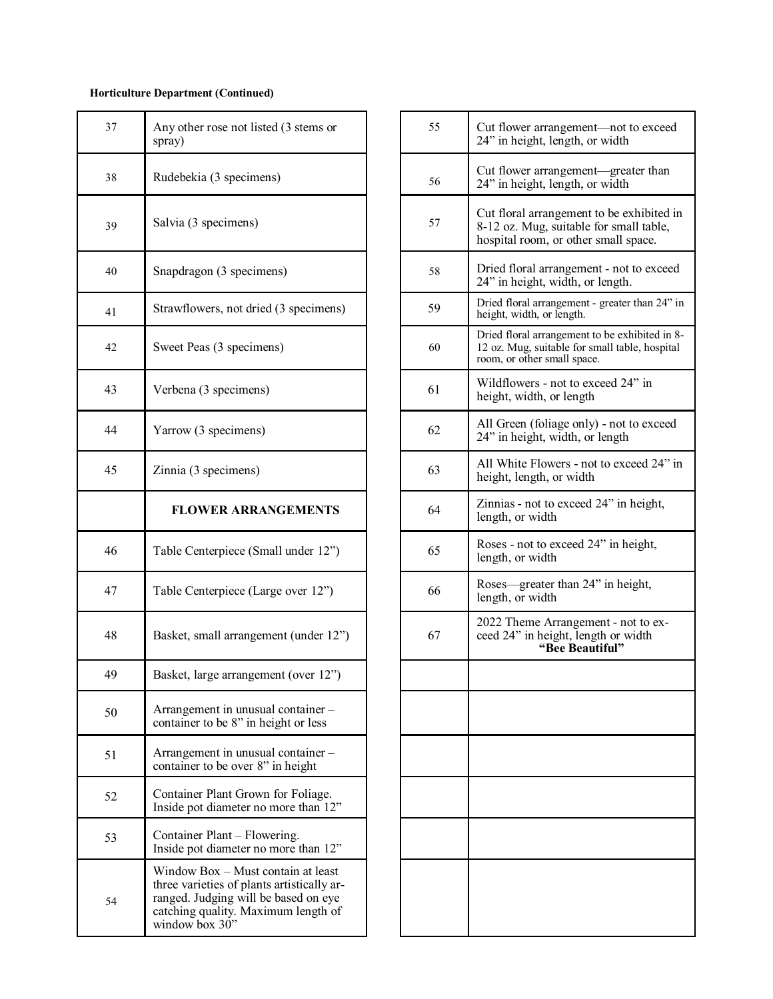## **Horticulture Department (Continued)**

| 37 | Any other rose not listed (3 stems or<br>spray)                                                                                                                                   | 55 | Cut flower arrangement—not to ex<br>24" in height, length, or width                                                 |
|----|-----------------------------------------------------------------------------------------------------------------------------------------------------------------------------------|----|---------------------------------------------------------------------------------------------------------------------|
| 38 | Rudebekia (3 specimens)                                                                                                                                                           | 56 | Cut flower arrangement-greater th<br>24" in height, length, or width                                                |
| 39 | Salvia (3 specimens)                                                                                                                                                              | 57 | Cut floral arrangement to be exhibi<br>8-12 oz. Mug, suitable for small tab<br>hospital room, or other small space. |
| 40 | Snapdragon (3 specimens)                                                                                                                                                          | 58 | Dried floral arrangement - not to ex<br>24" in height, width, or length.                                            |
| 41 | Strawflowers, not dried (3 specimens)                                                                                                                                             | 59 | Dried floral arrangement - greater than<br>height, width, or length.                                                |
| 42 | Sweet Peas (3 specimens)                                                                                                                                                          | 60 | Dried floral arrangement to be exhibite<br>12 oz. Mug, suitable for small table, ho<br>room, or other small space.  |
| 43 | Verbena (3 specimens)                                                                                                                                                             | 61 | Wildflowers - not to exceed 24" in<br>height, width, or length                                                      |
| 44 | Yarrow (3 specimens)                                                                                                                                                              | 62 | All Green (foliage only) - not to ex-<br>24" in height, width, or length                                            |
| 45 | Zinnia (3 specimens)                                                                                                                                                              | 63 | All White Flowers - not to exceed 2<br>height, length, or width                                                     |
|    | <b>FLOWER ARRANGEMENTS</b>                                                                                                                                                        | 64 | Zinnias - not to exceed 24" in heigh<br>length, or width                                                            |
| 46 | Table Centerpiece (Small under 12")                                                                                                                                               | 65 | Roses - not to exceed 24" in height<br>length, or width                                                             |
| 47 | Table Centerpiece (Large over 12")                                                                                                                                                | 66 | Roses—greater than 24" in height,<br>length, or width                                                               |
| 48 | Basket, small arrangement (under 12")                                                                                                                                             | 67 | 2022 Theme Arrangement - not to<br>ceed 24" in height, length or width<br>"Bee Beautiful"                           |
| 49 | Basket, large arrangement (over 12")                                                                                                                                              |    |                                                                                                                     |
| 50 | Arrangement in unusual container -<br>container to be 8" in height or less                                                                                                        |    |                                                                                                                     |
| 51 | Arrangement in unusual container -<br>container to be over 8" in height                                                                                                           |    |                                                                                                                     |
| 52 | Container Plant Grown for Foliage.<br>Inside pot diameter no more than 12"                                                                                                        |    |                                                                                                                     |
| 53 | Container Plant - Flowering.<br>Inside pot diameter no more than 12"                                                                                                              |    |                                                                                                                     |
| 54 | Window Box - Must contain at least<br>three varieties of plants artistically ar-<br>ranged. Judging will be based on eye<br>catching quality. Maximum length of<br>window box 30" |    |                                                                                                                     |

| 37 | Any other rose not listed (3 stems or<br>spray)                                                                                                                                   | 55 | Cut flower arrangement-not to exceed<br>24" in height, length, or width                                                         |
|----|-----------------------------------------------------------------------------------------------------------------------------------------------------------------------------------|----|---------------------------------------------------------------------------------------------------------------------------------|
| 38 | Rudebekia (3 specimens)                                                                                                                                                           | 56 | Cut flower arrangement-greater than<br>24" in height, length, or width                                                          |
| 39 | Salvia (3 specimens)                                                                                                                                                              | 57 | Cut floral arrangement to be exhibited in<br>8-12 oz. Mug, suitable for small table,<br>hospital room, or other small space.    |
| 40 | Snapdragon (3 specimens)                                                                                                                                                          | 58 | Dried floral arrangement - not to exceed<br>24" in height, width, or length.                                                    |
| 41 | Strawflowers, not dried (3 specimens)                                                                                                                                             | 59 | Dried floral arrangement - greater than 24" in<br>height, width, or length.                                                     |
| 42 | Sweet Peas (3 specimens)                                                                                                                                                          | 60 | Dried floral arrangement to be exhibited in 8-<br>12 oz. Mug, suitable for small table, hospital<br>room, or other small space. |
| 43 | Verbena (3 specimens)                                                                                                                                                             | 61 | Wildflowers - not to exceed 24" in<br>height, width, or length                                                                  |
| 44 | Yarrow (3 specimens)                                                                                                                                                              | 62 | All Green (foliage only) - not to exceed<br>24" in height, width, or length                                                     |
| 45 | Zinnia (3 specimens)                                                                                                                                                              | 63 | All White Flowers - not to exceed 24" in<br>height, length, or width                                                            |
|    | <b>FLOWER ARRANGEMENTS</b>                                                                                                                                                        | 64 | Zinnias - not to exceed 24" in height,<br>length, or width                                                                      |
| 46 | Table Centerpiece (Small under 12")                                                                                                                                               | 65 | Roses - not to exceed 24" in height,<br>length, or width                                                                        |
| 47 | Table Centerpiece (Large over 12")                                                                                                                                                | 66 | Roses—greater than 24" in height,<br>length, or width                                                                           |
| 48 | Basket, small arrangement (under 12")                                                                                                                                             | 67 | 2022 Theme Arrangement - not to ex-<br>ceed 24" in height, length or width<br>"Bee Beautiful"                                   |
| 49 | Basket, large arrangement (over 12")                                                                                                                                              |    |                                                                                                                                 |
| 50 | Arrangement in unusual container -<br>container to be 8" in height or less                                                                                                        |    |                                                                                                                                 |
| 51 | Arrangement in unusual container -<br>container to be over 8" in height                                                                                                           |    |                                                                                                                                 |
| 52 | Container Plant Grown for Foliage.<br>Inside pot diameter no more than 12"                                                                                                        |    |                                                                                                                                 |
| 53 | Container Plant – Flowering.<br>Inside pot diameter no more than 12"                                                                                                              |    |                                                                                                                                 |
| 54 | Window Box - Must contain at least<br>three varieties of plants artistically ar-<br>ranged. Judging will be based on eye<br>catching quality. Maximum length of<br>window box 30" |    |                                                                                                                                 |